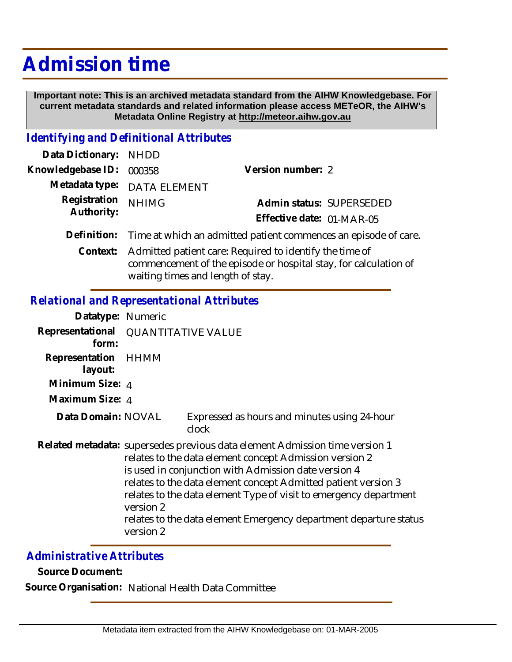## **Admission time**

 **Important note: This is an archived metadata standard from the AIHW Knowledgebase. For current metadata standards and related information please access METeOR, the AIHW's Metadata Online Registry at http://meteor.aihw.gov.au**

## *Identifying and Definitional Attributes*

| Data Dictionary: NHDD            |                                                                             |                           |                          |
|----------------------------------|-----------------------------------------------------------------------------|---------------------------|--------------------------|
| Knowledgebase ID: 000358         |                                                                             | Version number: 2         |                          |
|                                  | Metadata type: DATA ELEMENT                                                 |                           |                          |
| Registration NHIMG<br>Authority: |                                                                             |                           | Admin status: SUPERSEDED |
|                                  |                                                                             | Effective date: 01-MAR-05 |                          |
|                                  | Definition: Time at which an admitted patient commences an episode of care. |                           |                          |

Context: Admitted patient care: Required to identify the time of commencement of the episode or hospital stay, for calculation of waiting times and length of stay.

## *Relational and Representational Attributes*

| Datatype: Numeric                            |                                                                                                                                                                                                                                                                                                                                                                                                                                      |                                                       |
|----------------------------------------------|--------------------------------------------------------------------------------------------------------------------------------------------------------------------------------------------------------------------------------------------------------------------------------------------------------------------------------------------------------------------------------------------------------------------------------------|-------------------------------------------------------|
| Representational QUANTITATIVE VALUE<br>form: |                                                                                                                                                                                                                                                                                                                                                                                                                                      |                                                       |
| Representation HHMM<br>layout:               |                                                                                                                                                                                                                                                                                                                                                                                                                                      |                                                       |
| Minimum Size: 4                              |                                                                                                                                                                                                                                                                                                                                                                                                                                      |                                                       |
| Maximum Size: 4                              |                                                                                                                                                                                                                                                                                                                                                                                                                                      |                                                       |
| Data Domain: NOVAL                           |                                                                                                                                                                                                                                                                                                                                                                                                                                      | Expressed as hours and minutes using 24-hour<br>clock |
|                                              | Related metadata: supersedes previous data element Admission time version 1<br>relates to the data element concept Admission version 2<br>is used in conjunction with Admission date version 4<br>relates to the data element concept Admitted patient version 3<br>relates to the data element Type of visit to emergency department<br>version 2<br>relates to the data element Emergency department departure status<br>version 2 |                                                       |

## *Administrative Attributes*

**Source Document:**

**Source Organisation:** National Health Data Committee